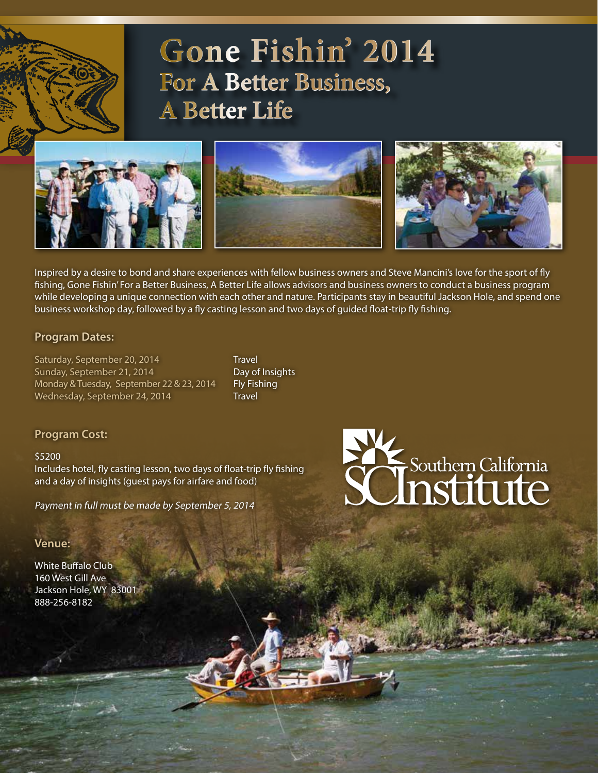# **Gone Fishin' 2014 For A Better Business, A Better Life**



Inspired by a desire to bond and share experiences with fellow business owners and Steve Mancini's love for the sport of fly fishing, Gone Fishin' For a Better Business, A Better Life allows advisors and business owners to conduct a business program while developing a unique connection with each other and nature. Participants stay in beautiful Jackson Hole, and spend one business workshop day, followed by a fly casting lesson and two days of guided float-trip fly fishing.

### **Program Dates:**

Saturday, September 20, 2014 Travel Sunday, September 21, 2014 Day of Insights Monday & Tuesday, September 22 & 23, 2014 Fly Fishing Wednesday, September 24, 2014 Travel

### **Program Cost:**

#### \$5200

Includes hotel, fly casting lesson, two days of float-trip fly fishing and a day of insights (guest pays for airfare and food)

Payment in full must be made by September 5, 2014

# **Venue:**

White Buffalo Club 160 West Gill Ave Jackson Hole, WY 83001 888-256-8182